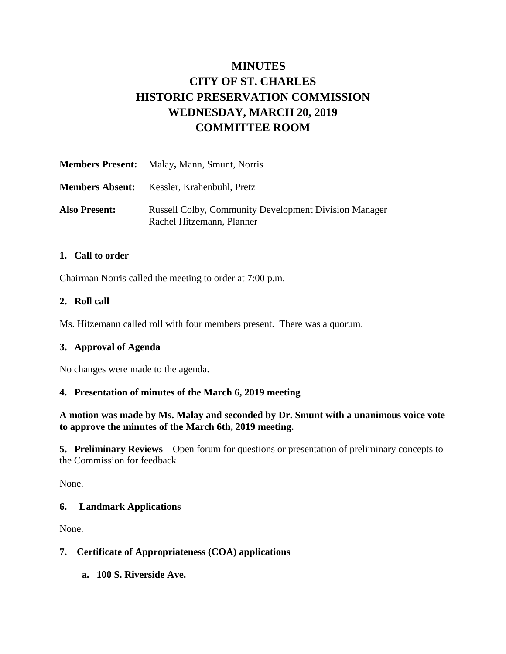# **MINUTES CITY OF ST. CHARLES HISTORIC PRESERVATION COMMISSION WEDNESDAY, MARCH 20, 2019 COMMITTEE ROOM**

|                      | <b>Members Present:</b> Malay, Mann, Smunt, Norris                                        |
|----------------------|-------------------------------------------------------------------------------------------|
|                      | <b>Members Absent:</b> Kessler, Krahenbuhl, Pretz                                         |
| <b>Also Present:</b> | <b>Russell Colby, Community Development Division Manager</b><br>Rachel Hitzemann, Planner |

#### **1. Call to order**

Chairman Norris called the meeting to order at 7:00 p.m.

#### **2. Roll call**

Ms. Hitzemann called roll with four members present. There was a quorum.

## **3. Approval of Agenda**

No changes were made to the agenda.

#### **4. Presentation of minutes of the March 6, 2019 meeting**

**A motion was made by Ms. Malay and seconded by Dr. Smunt with a unanimous voice vote to approve the minutes of the March 6th, 2019 meeting.** 

**5. Preliminary Reviews –** Open forum for questions or presentation of preliminary concepts to the Commission for feedback

None.

#### **6. Landmark Applications**

None.

## **7. Certificate of Appropriateness (COA) applications**

**a. 100 S. Riverside Ave.**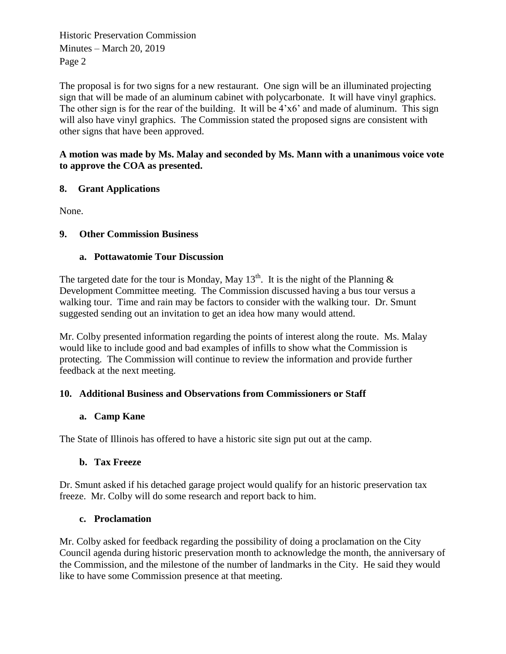Historic Preservation Commission Minutes – March 20, 2019 Page 2

The proposal is for two signs for a new restaurant. One sign will be an illuminated projecting sign that will be made of an aluminum cabinet with polycarbonate. It will have vinyl graphics. The other sign is for the rear of the building. It will be 4'x6' and made of aluminum. This sign will also have vinyl graphics. The Commission stated the proposed signs are consistent with other signs that have been approved.

#### **A motion was made by Ms. Malay and seconded by Ms. Mann with a unanimous voice vote to approve the COA as presented.**

# **8. Grant Applications**

None.

## **9. Other Commission Business**

## **a. Pottawatomie Tour Discussion**

The targeted date for the tour is Monday, May  $13<sup>th</sup>$ . It is the night of the Planning & Development Committee meeting. The Commission discussed having a bus tour versus a walking tour. Time and rain may be factors to consider with the walking tour. Dr. Smunt suggested sending out an invitation to get an idea how many would attend.

Mr. Colby presented information regarding the points of interest along the route. Ms. Malay would like to include good and bad examples of infills to show what the Commission is protecting. The Commission will continue to review the information and provide further feedback at the next meeting.

## **10. Additional Business and Observations from Commissioners or Staff**

## **a. Camp Kane**

The State of Illinois has offered to have a historic site sign put out at the camp.

# **b. Tax Freeze**

Dr. Smunt asked if his detached garage project would qualify for an historic preservation tax freeze. Mr. Colby will do some research and report back to him.

# **c. Proclamation**

Mr. Colby asked for feedback regarding the possibility of doing a proclamation on the City Council agenda during historic preservation month to acknowledge the month, the anniversary of the Commission, and the milestone of the number of landmarks in the City. He said they would like to have some Commission presence at that meeting.